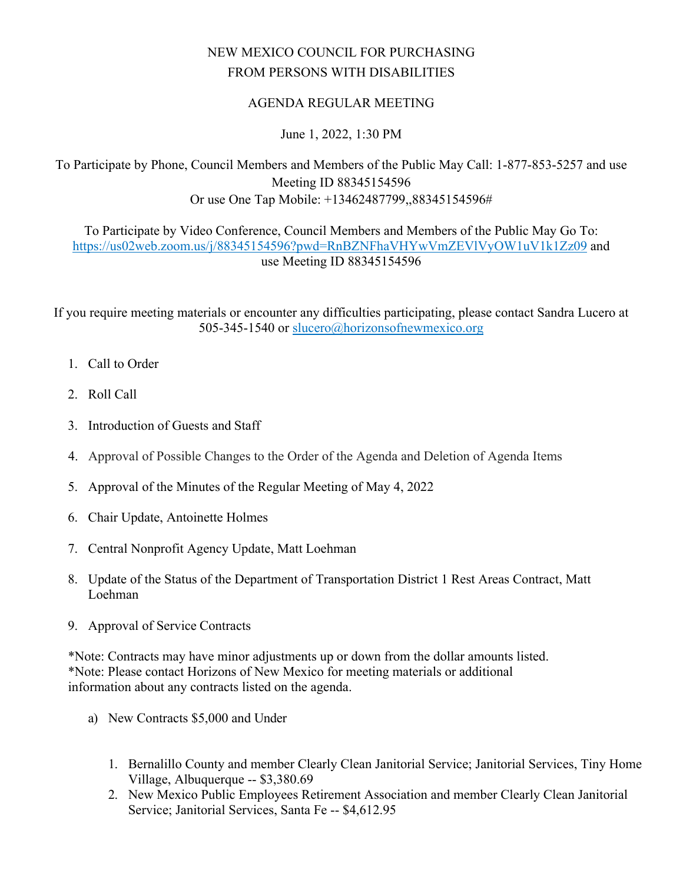## NEW MEXICO COUNCIL FOR PURCHASING FROM PERSONS WITH DISABILITIES

## AGENDA REGULAR MEETING

## June 1, 2022, 1:30 PM

To Participate by Phone, Council Members and Members of the Public May Call: 1-877-853-5257 and use Meeting ID 88345154596 Or use One Tap Mobile: +13462487799,,88345154596#

To Participate by Video Conference, Council Members and Members of the Public May Go To: <https://us02web.zoom.us/j/88345154596?pwd=RnBZNFhaVHYwVmZEVlVyOW1uV1k1Zz09>and use Meeting ID 88345154596

If you require meeting materials or encounter any difficulties participating, please contact Sandra Lucero at 505-345-1540 or [slucero@horizonsofnewmexico.org](mailto:slucero@horizonsofnewmexico.org) 

- 1. Call to Order
- 2. Roll Call
- 3. Introduction of Guests and Staff
- 4. Approval of Possible Changes to the Order of the Agenda and Deletion of Agenda Items
- 5. Approval of the Minutes of the Regular Meeting of May 4, 2022
- 6. Chair Update, Antoinette Holmes
- 7. Central Nonprofit Agency Update, Matt Loehman
- 8. Update of the Status of the Department of Transportation District 1 Rest Areas Contract, Matt Loehman
- 9. Approval of Service Contracts

\*Note: Contracts may have minor adjustments up or down from the dollar amounts listed. \*Note: Please contact Horizons of New Mexico for meeting materials or additional information about any contracts listed on the agenda.

- a) New Contracts \$5,000 and Under
	- 1. Bernalillo County and member Clearly Clean Janitorial Service; Janitorial Services, Tiny Home Village, Albuquerque -- \$3,380.69
	- 2. New Mexico Public Employees Retirement Association and member Clearly Clean Janitorial Service; Janitorial Services, Santa Fe -- \$4,612.95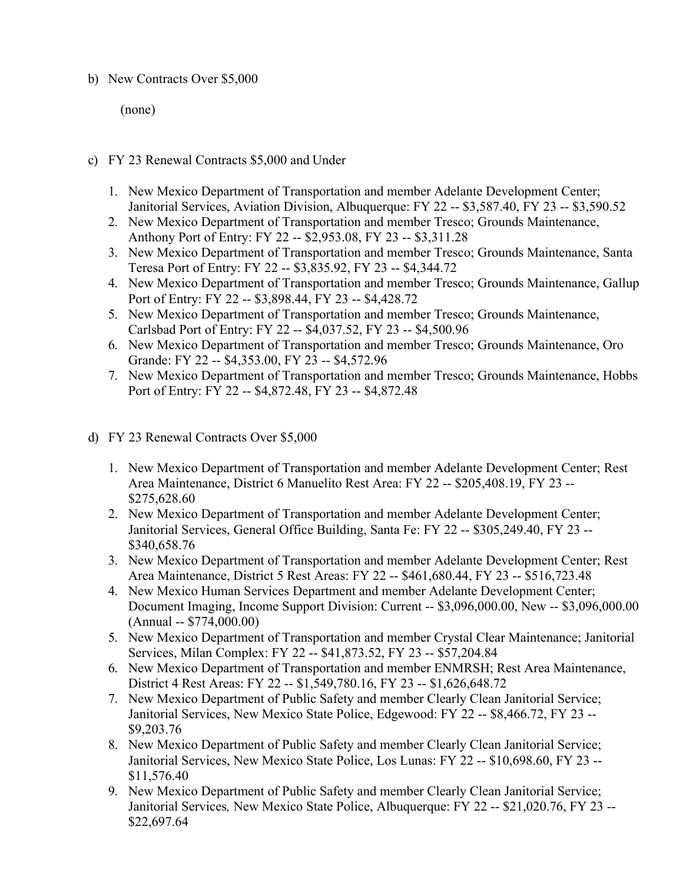## b) New Contracts Over \$5,000

(none)

- c) FY 23 Renewal Contracts \$5,000 and Under
	- 1. New Mexico Department of Transportation and member Adelante Development Center; Janitorial Services, Aviation Division, Albuquerque: FY 22 -- \$3,587.40, FY 23 -- \$3,590.52
	- 2. New Mexico Department of Transportation and member Tresco; Grounds Maintenance, Anthony Port of Entry: FY 22 -- \$2,953.08, FY 23 -- \$3,311.28
	- 3. New Mexico Department of Transportation and member Tresco; Grounds Maintenance, Santa Teresa Port of Entry: FY 22 -- \$3,835.92, FY 23 -- \$4,344.72
	- 4. New Mexico Department of Transportation and member Tresco; Grounds Maintenance, Gallup Port of Entry: FY 22 -- \$3,898.44, FY 23 -- \$4,428.72
	- 5. New Mexico Department of Transportation and member Tresco; Grounds Maintenance, Carlsbad Port of Entry: FY 22 -- \$4,037.52, FY 23 -- \$4,500.96
	- 6. New Mexico Department of Transportation and member Tresco; Grounds Maintenance, Oro Grande: FY 22 -- \$4,353.00, FY 23 -- \$4,572.96
	- 7. New Mexico Department of Transportation and member Tresco; Grounds Maintenance, Hobbs Port of Entry: FY 22 -- \$4,872.48, FY 23 -- \$4,872.48
- d) FY 23 Renewal Contracts Over \$5,000
	- 1. New Mexico Department of Transportation and member Adelante Development Center; Rest Area Maintenance, District 6 Manuelito Rest Area: FY 22 -- \$205,408.19, FY 23 -- \$275,628.60
	- 2. New Mexico Department of Transportation and member Adelante Development Center; Janitorial Services, General Office Building, Santa Fe: FY 22 -- \$305,249.40, FY 23 -- \$340,658.76
	- 3. New Mexico Department of Transportation and member Adelante Development Center; Rest Area Maintenance, District 5 Rest Areas: FY 22 -- \$461,680.44, FY 23 -- \$516,723.48
	- 4. New Mexico Human Services Department and member Adelante Development Center; Document Imaging, Income Support Division: Current -- \$3,096,000.00, New -- \$3,096,000.00 (Annual -- \$774,000.00)
	- 5. New Mexico Department of Transportation and member Crystal Clear Maintenance; Janitorial Services, Milan Complex: FY 22 -- \$41,873.52, FY 23 -- \$57,204.84
	- 6. New Mexico Department of Transportation and member ENMRSH; Rest Area Maintenance, District 4 Rest Areas: FY 22 -- \$1,549,780.16, FY 23 -- \$1,626,648.72
	- 7. New Mexico Department of Public Safety and member Clearly Clean Janitorial Service; Janitorial Services, New Mexico State Police, Edgewood: FY 22 -- \$8,466.72, FY 23 -- \$9,203.76
	- 8. New Mexico Department of Public Safety and member Clearly Clean Janitorial Service; Janitorial Services, New Mexico State Police, Los Lunas: FY 22 -- \$10,698.60, FY 23 -- \$11,576.40
	- 9. New Mexico Department of Public Safety and member Clearly Clean Janitorial Service; Janitorial Services*,* New Mexico State Police, Albuquerque: FY 22 -- \$21,020.76, FY 23 -- \$22,697.64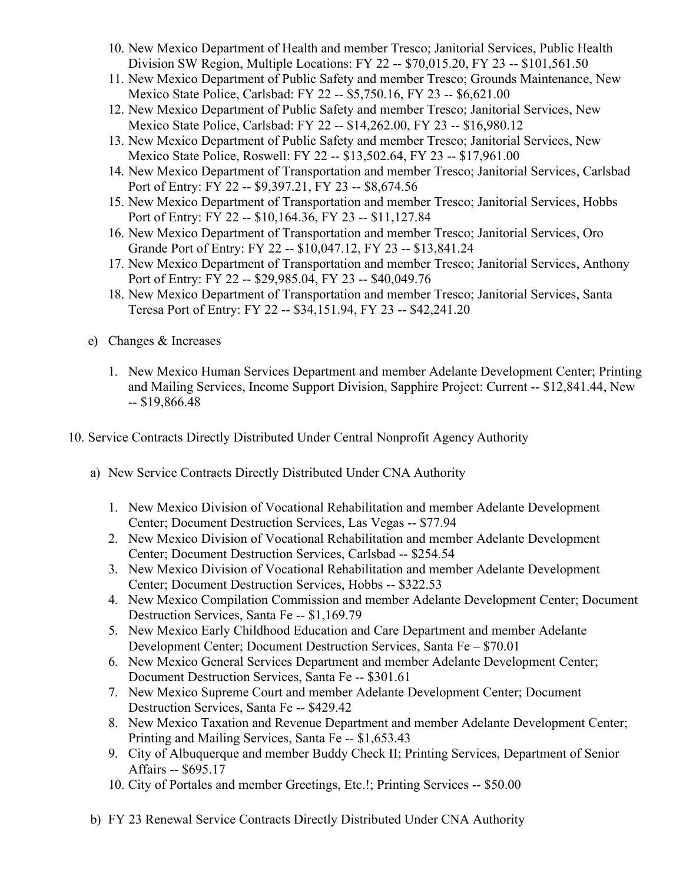- 10. New Mexico Department of Health and member Tresco; Janitorial Services, Public Health Division SW Region, Multiple Locations: FY 22 -- \$70,015.20, FY 23 -- \$101,561.50
- 11. New Mexico Department of Public Safety and member Tresco; Grounds Maintenance, New Mexico State Police, Carlsbad: FY 22 -- \$5,750.16, FY 23 -- \$6,621.00
- 12. New Mexico Department of Public Safety and member Tresco; Janitorial Services, New Mexico State Police, Carlsbad: FY 22 -- \$14,262.00, FY 23 -- \$16,980.12
- 13. New Mexico Department of Public Safety and member Tresco; Janitorial Services, New Mexico State Police, Roswell: FY 22 -- \$13,502.64, FY 23 -- \$17,961.00
- 14. New Mexico Department of Transportation and member Tresco; Janitorial Services, Carlsbad Port of Entry: FY 22 -- \$9,397.21, FY 23 -- \$8,674.56
- 15. New Mexico Department of Transportation and member Tresco; Janitorial Services, Hobbs Port of Entry: FY 22 -- \$10,164.36, FY 23 -- \$11,127.84
- 16. New Mexico Department of Transportation and member Tresco; Janitorial Services, Oro Grande Port of Entry: FY 22 -- \$10,047.12, FY 23 -- \$13,841.24
- 17. New Mexico Department of Transportation and member Tresco; Janitorial Services, Anthony Port of Entry: FY 22 -- \$29,985.04, FY 23 -- \$40,049.76
- 18. New Mexico Department of Transportation and member Tresco; Janitorial Services, Santa Teresa Port of Entry: FY 22 -- \$34,151.94, FY 23 -- \$42,241.20
- e) Changes & Increases
	- 1. New Mexico Human Services Department and member Adelante Development Center; Printing and Mailing Services, Income Support Division, Sapphire Project: Current -- \$12,841.44, New -- \$19,866.48
- 10. Service Contracts Directly Distributed Under Central Nonprofit Agency Authority
	- a) New Service Contracts Directly Distributed Under CNA Authority
		- 1. New Mexico Division of Vocational Rehabilitation and member Adelante Development Center; Document Destruction Services, Las Vegas -- \$77.94
		- 2. New Mexico Division of Vocational Rehabilitation and member Adelante Development Center; Document Destruction Services, Carlsbad -- \$254.54
		- 3. New Mexico Division of Vocational Rehabilitation and member Adelante Development Center; Document Destruction Services, Hobbs -- \$322.53
		- 4. New Mexico Compilation Commission and member Adelante Development Center; Document Destruction Services, Santa Fe -- \$1,169.79
		- 5. New Mexico Early Childhood Education and Care Department and member Adelante Development Center; Document Destruction Services, Santa Fe – \$70.01
		- 6. New Mexico General Services Department and member Adelante Development Center; Document Destruction Services, Santa Fe -- \$301.61
		- 7. New Mexico Supreme Court and member Adelante Development Center; Document Destruction Services, Santa Fe -- \$429.42
		- 8. New Mexico Taxation and Revenue Department and member Adelante Development Center; Printing and Mailing Services, Santa Fe -- \$1,653.43
		- 9. City of Albuquerque and member Buddy Check II; Printing Services, Department of Senior Affairs -- \$695.17
		- 10. City of Portales and member Greetings, Etc.!; Printing Services -- \$50.00
	- b) FY 23 Renewal Service Contracts Directly Distributed Under CNA Authority